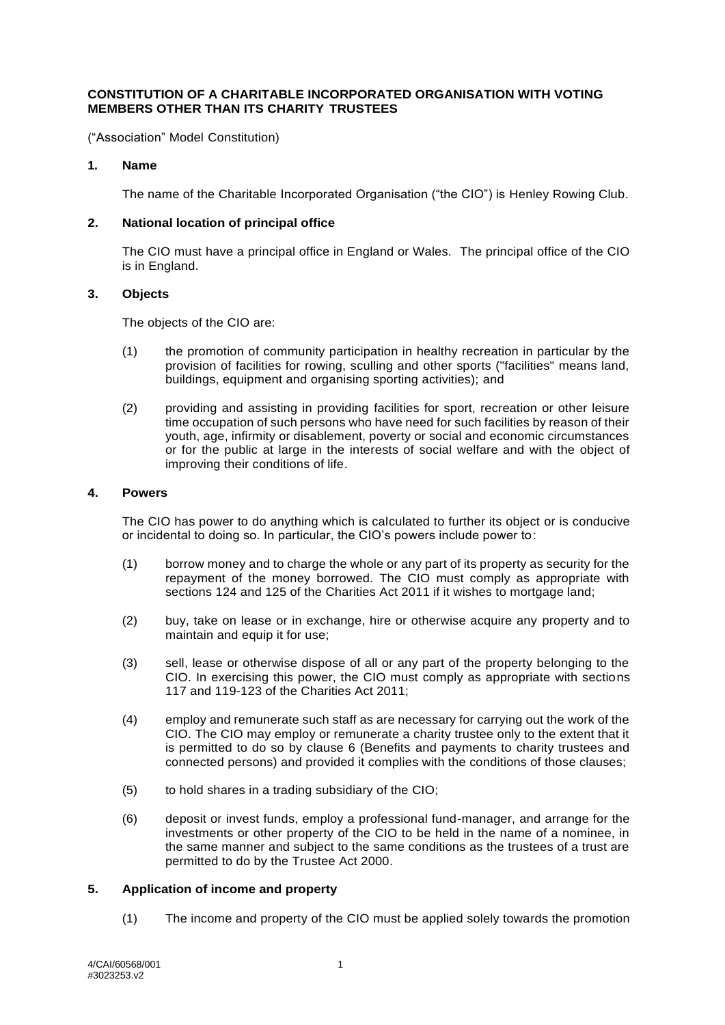# **CONSTITUTION OF A CHARITABLE INCORPORATED ORGANISATION WITH VOTING MEMBERS OTHER THAN ITS CHARITY TRUSTEES**

("Association" Model Constitution)

# **1. Name**

The name of the Charitable Incorporated Organisation ("the CIO") is Henley Rowing Club.

# **2. National location of principal office**

The CIO must have a principal office in England or Wales. The principal office of the CIO is in England.

# **3. Objects**

The objects of the CIO are:

- (1) the promotion of community participation in healthy recreation in particular by the provision of facilities for rowing, sculling and other sports ("facilities" means land, buildings, equipment and organising sporting activities); and
- (2) providing and assisting in providing facilities for sport, recreation or other leisure time occupation of such persons who have need for such facilities by reason of their youth, age, infirmity or disablement, poverty or social and economic circumstances or for the public at large in the interests of social welfare and with the object of improving their conditions of life.

# **4. Powers**

The CIO has power to do anything which is calculated to further its object or is conducive or incidental to doing so. In particular, the CIO's powers include power to:

- (1) borrow money and to charge the whole or any part of its property as security for the repayment of the money borrowed. The CIO must comply as appropriate with sections 124 and 125 of the Charities Act 2011 if it wishes to mortgage land;
- (2) buy, take on lease or in exchange, hire or otherwise acquire any property and to maintain and equip it for use;
- (3) sell, lease or otherwise dispose of all or any part of the property belonging to the CIO. In exercising this power, the CIO must comply as appropriate with sections 117 and 119-123 of the Charities Act 2011;
- (4) employ and remunerate such staff as are necessary for carrying out the work of the CIO. The CIO may employ or remunerate a charity trustee only to the extent that it is permitted to do so by clause 6 (Benefits and payments to charity trustees and connected persons) and provided it complies with the conditions of those clauses;
- (5) to hold shares in a trading subsidiary of the CIO;
- (6) deposit or invest funds, employ a professional fund-manager, and arrange for the investments or other property of the CIO to be held in the name of a nominee, in the same manner and subject to the same conditions as the trustees of a trust are permitted to do by the Trustee Act 2000.

# **5. Application of income and property**

(1) The income and property of the CIO must be applied solely towards the promotion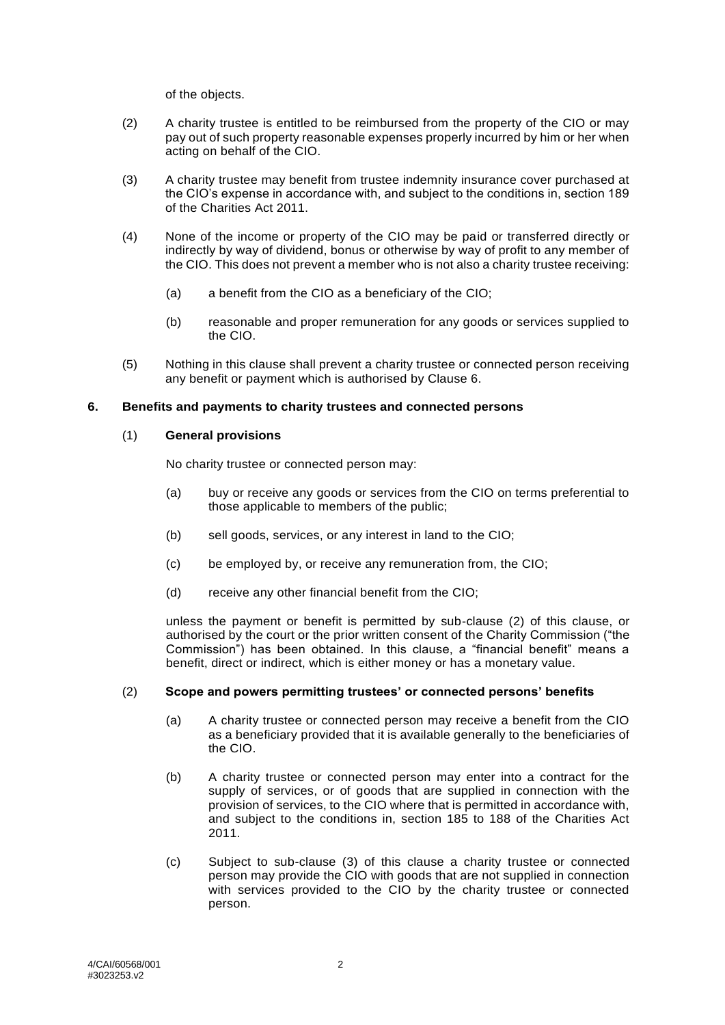of the objects.

- (2) A charity trustee is entitled to be reimbursed from the property of the CIO or may pay out of such property reasonable expenses properly incurred by him or her when acting on behalf of the CIO.
- (3) A charity trustee may benefit from trustee indemnity insurance cover purchased at the CIO's expense in accordance with, and subject to the conditions in, section 189 of the Charities Act 2011.
- (4) None of the income or property of the CIO may be paid or transferred directly or indirectly by way of dividend, bonus or otherwise by way of profit to any member of the CIO. This does not prevent a member who is not also a charity trustee receiving:
	- (a) a benefit from the CIO as a beneficiary of the CIO;
	- (b) reasonable and proper remuneration for any goods or services supplied to the CIO.
- (5) Nothing in this clause shall prevent a charity trustee or connected person receiving any benefit or payment which is authorised by Clause 6.

### **6. Benefits and payments to charity trustees and connected persons**

### (1) **General provisions**

No charity trustee or connected person may:

- (a) buy or receive any goods or services from the CIO on terms preferential to those applicable to members of the public;
- (b) sell goods, services, or any interest in land to the CIO;
- (c) be employed by, or receive any remuneration from, the CIO;
- (d) receive any other financial benefit from the CIO;

unless the payment or benefit is permitted by sub-clause (2) of this clause, or authorised by the court or the prior written consent of the Charity Commission ("the Commission") has been obtained. In this clause, a "financial benefit" means a benefit, direct or indirect, which is either money or has a monetary value.

#### (2) **Scope and powers permitting trustees' or connected persons' benefits**

- (a) A charity trustee or connected person may receive a benefit from the CIO as a beneficiary provided that it is available generally to the beneficiaries of the CIO.
- (b) A charity trustee or connected person may enter into a contract for the supply of services, or of goods that are supplied in connection with the provision of services, to the CIO where that is permitted in accordance with, and subject to the conditions in, section 185 to 188 of the Charities Act 2011.
- (c) Subject to sub-clause (3) of this clause a charity trustee or connected person may provide the CIO with goods that are not supplied in connection with services provided to the CIO by the charity trustee or connected person.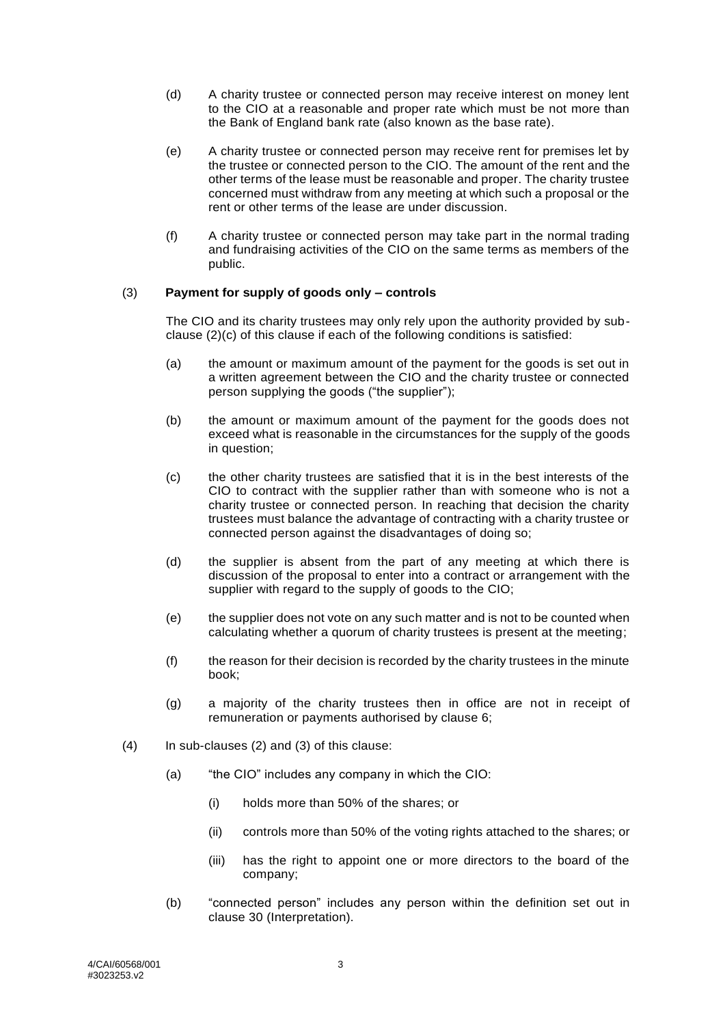- (d) A charity trustee or connected person may receive interest on money lent to the CIO at a reasonable and proper rate which must be not more than the Bank of England bank rate (also known as the base rate).
- (e) A charity trustee or connected person may receive rent for premises let by the trustee or connected person to the CIO. The amount of the rent and the other terms of the lease must be reasonable and proper. The charity trustee concerned must withdraw from any meeting at which such a proposal or the rent or other terms of the lease are under discussion.
- (f) A charity trustee or connected person may take part in the normal trading and fundraising activities of the CIO on the same terms as members of the public.

# (3) **Payment for supply of goods only – controls**

The CIO and its charity trustees may only rely upon the authority provided by subclause (2)(c) of this clause if each of the following conditions is satisfied:

- (a) the amount or maximum amount of the payment for the goods is set out in a written agreement between the CIO and the charity trustee or connected person supplying the goods ("the supplier");
- (b) the amount or maximum amount of the payment for the goods does not exceed what is reasonable in the circumstances for the supply of the goods in question;
- (c) the other charity trustees are satisfied that it is in the best interests of the CIO to contract with the supplier rather than with someone who is not a charity trustee or connected person. In reaching that decision the charity trustees must balance the advantage of contracting with a charity trustee or connected person against the disadvantages of doing so;
- (d) the supplier is absent from the part of any meeting at which there is discussion of the proposal to enter into a contract or arrangement with the supplier with regard to the supply of goods to the CIO;
- (e) the supplier does not vote on any such matter and is not to be counted when calculating whether a quorum of charity trustees is present at the meeting;
- (f) the reason for their decision is recorded by the charity trustees in the minute book;
- (g) a majority of the charity trustees then in office are not in receipt of remuneration or payments authorised by clause 6;
- (4) In sub-clauses (2) and (3) of this clause:
	- (a) "the CIO" includes any company in which the CIO:
		- (i) holds more than 50% of the shares; or
		- (ii) controls more than 50% of the voting rights attached to the shares; or
		- (iii) has the right to appoint one or more directors to the board of the company;
	- (b) "connected person" includes any person within the definition set out in clause 30 (Interpretation).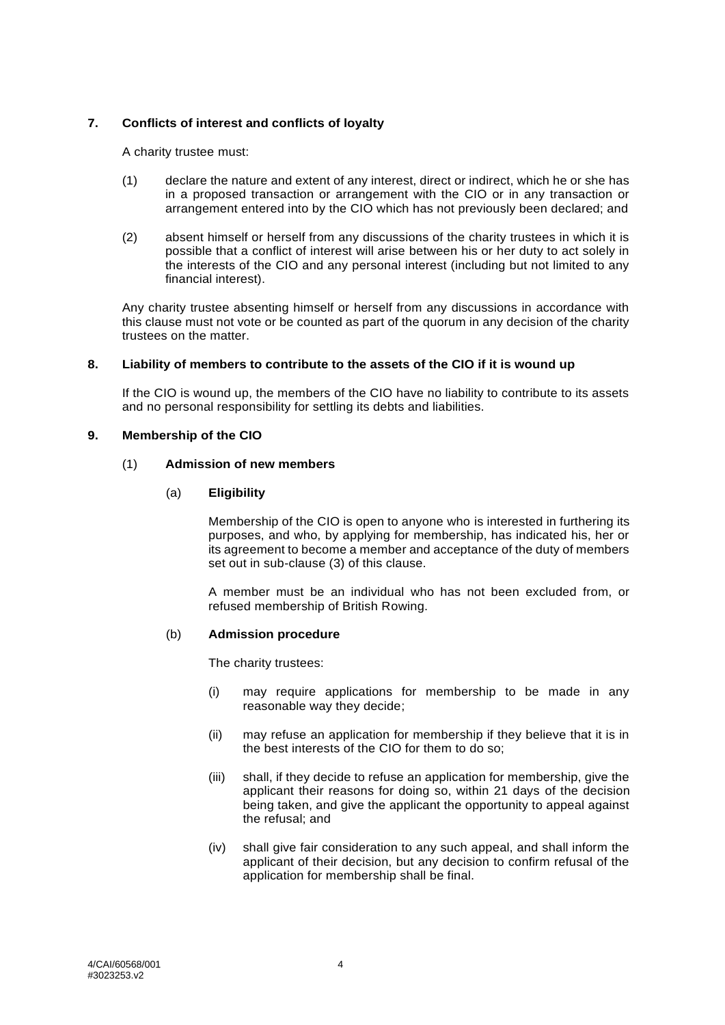# **7. Conflicts of interest and conflicts of loyalty**

A charity trustee must:

- (1) declare the nature and extent of any interest, direct or indirect, which he or she has in a proposed transaction or arrangement with the CIO or in any transaction or arrangement entered into by the CIO which has not previously been declared; and
- (2) absent himself or herself from any discussions of the charity trustees in which it is possible that a conflict of interest will arise between his or her duty to act solely in the interests of the CIO and any personal interest (including but not limited to any financial interest).

Any charity trustee absenting himself or herself from any discussions in accordance with this clause must not vote or be counted as part of the quorum in any decision of the charity trustees on the matter.

# **8. Liability of members to contribute to the assets of the CIO if it is wound up**

If the CIO is wound up, the members of the CIO have no liability to contribute to its assets and no personal responsibility for settling its debts and liabilities.

# **9. Membership of the CIO**

# (1) **Admission of new members**

# (a) **Eligibility**

Membership of the CIO is open to anyone who is interested in furthering its purposes, and who, by applying for membership, has indicated his, her or its agreement to become a member and acceptance of the duty of members set out in sub-clause (3) of this clause.

A member must be an individual who has not been excluded from, or refused membership of British Rowing.

# (b) **Admission procedure**

The charity trustees:

- (i) may require applications for membership to be made in any reasonable way they decide;
- (ii) may refuse an application for membership if they believe that it is in the best interests of the CIO for them to do so;
- (iii) shall, if they decide to refuse an application for membership, give the applicant their reasons for doing so, within 21 days of the decision being taken, and give the applicant the opportunity to appeal against the refusal; and
- (iv) shall give fair consideration to any such appeal, and shall inform the applicant of their decision, but any decision to confirm refusal of the application for membership shall be final.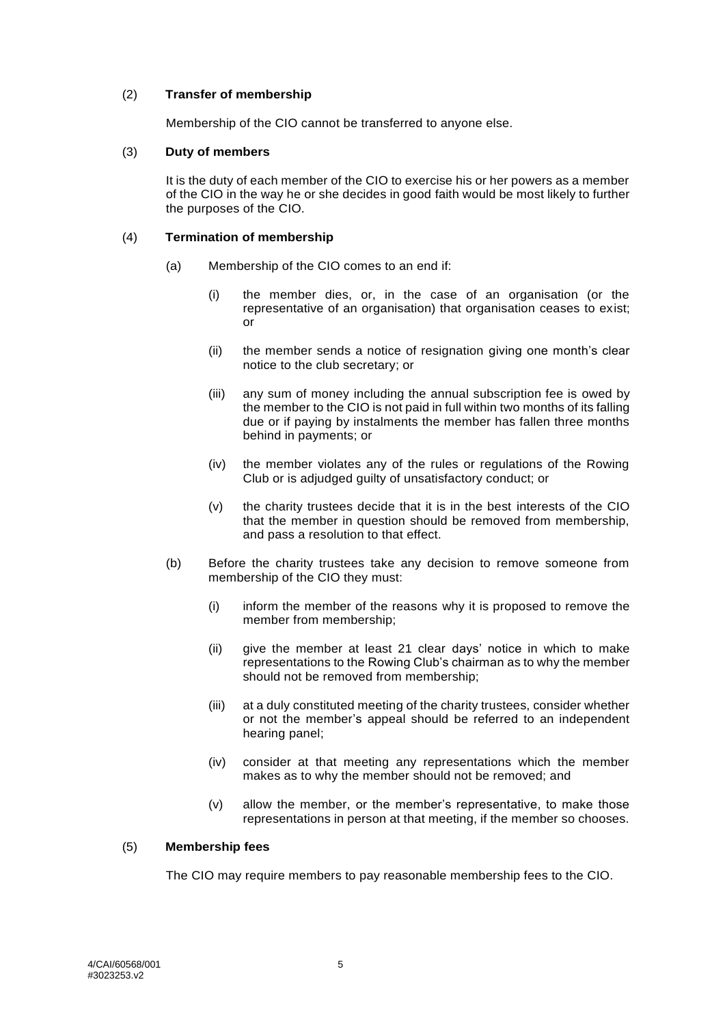### (2) **Transfer of membership**

Membership of the CIO cannot be transferred to anyone else.

### (3) **Duty of members**

It is the duty of each member of the CIO to exercise his or her powers as a member of the CIO in the way he or she decides in good faith would be most likely to further the purposes of the CIO.

### (4) **Termination of membership**

- (a) Membership of the CIO comes to an end if:
	- (i) the member dies, or, in the case of an organisation (or the representative of an organisation) that organisation ceases to exist; or
	- (ii) the member sends a notice of resignation giving one month's clear notice to the club secretary; or
	- (iii) any sum of money including the annual subscription fee is owed by the member to the CIO is not paid in full within two months of its falling due or if paying by instalments the member has fallen three months behind in payments; or
	- (iv) the member violates any of the rules or regulations of the Rowing Club or is adjudged guilty of unsatisfactory conduct; or
	- (v) the charity trustees decide that it is in the best interests of the CIO that the member in question should be removed from membership, and pass a resolution to that effect.
- (b) Before the charity trustees take any decision to remove someone from membership of the CIO they must:
	- (i) inform the member of the reasons why it is proposed to remove the member from membership;
	- (ii) give the member at least 21 clear days' notice in which to make representations to the Rowing Club's chairman as to why the member should not be removed from membership;
	- (iii) at a duly constituted meeting of the charity trustees, consider whether or not the member's appeal should be referred to an independent hearing panel;
	- (iv) consider at that meeting any representations which the member makes as to why the member should not be removed; and
	- (v) allow the member, or the member's representative, to make those representations in person at that meeting, if the member so chooses.

#### (5) **Membership fees**

The CIO may require members to pay reasonable membership fees to the CIO.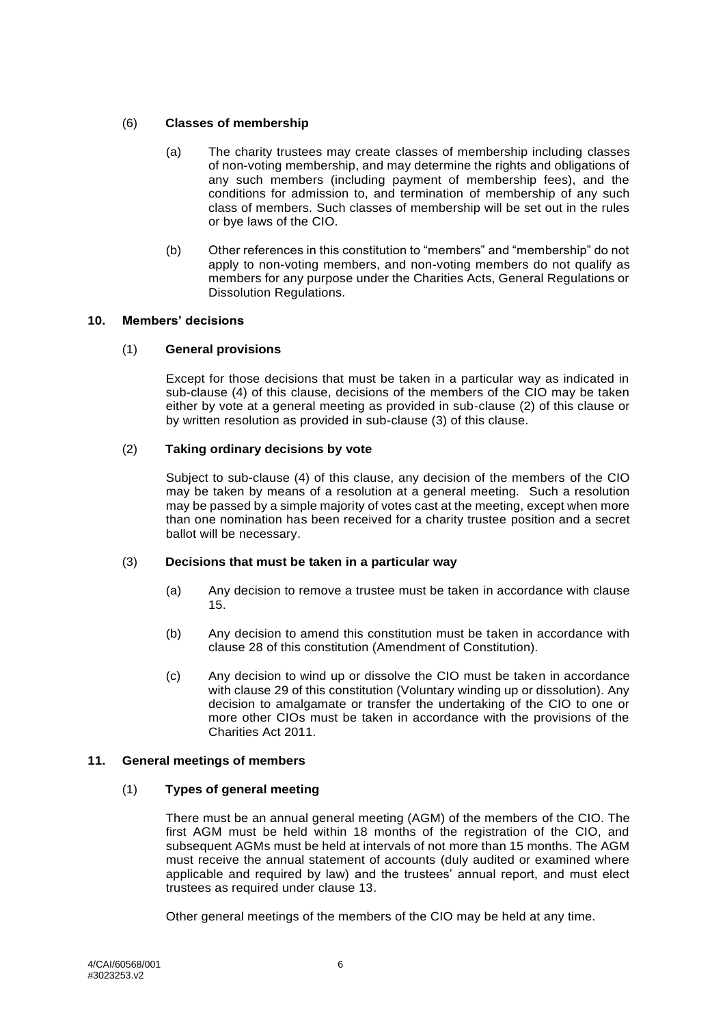# (6) **Classes of membership**

- (a) The charity trustees may create classes of membership including classes of non-voting membership, and may determine the rights and obligations of any such members (including payment of membership fees), and the conditions for admission to, and termination of membership of any such class of members. Such classes of membership will be set out in the rules or bye laws of the CIO.
- (b) Other references in this constitution to "members" and "membership" do not apply to non-voting members, and non-voting members do not qualify as members for any purpose under the Charities Acts, General Regulations or Dissolution Regulations.

# **10. Members' decisions**

# (1) **General provisions**

Except for those decisions that must be taken in a particular way as indicated in sub-clause (4) of this clause, decisions of the members of the CIO may be taken either by vote at a general meeting as provided in sub-clause (2) of this clause or by written resolution as provided in sub-clause (3) of this clause.

# (2) **Taking ordinary decisions by vote**

Subject to sub-clause (4) of this clause, any decision of the members of the CIO may be taken by means of a resolution at a general meeting. Such a resolution may be passed by a simple majority of votes cast at the meeting, except when more than one nomination has been received for a charity trustee position and a secret ballot will be necessary.

# (3) **Decisions that must be taken in a particular way**

- (a) Any decision to remove a trustee must be taken in accordance with clause 15.
- (b) Any decision to amend this constitution must be taken in accordance with clause 28 of this constitution (Amendment of Constitution).
- (c) Any decision to wind up or dissolve the CIO must be taken in accordance with clause 29 of this constitution (Voluntary winding up or dissolution). Any decision to amalgamate or transfer the undertaking of the CIO to one or more other CIOs must be taken in accordance with the provisions of the Charities Act 2011.

# **11. General meetings of members**

# (1) **Types of general meeting**

There must be an annual general meeting (AGM) of the members of the CIO. The first AGM must be held within 18 months of the registration of the CIO, and subsequent AGMs must be held at intervals of not more than 15 months. The AGM must receive the annual statement of accounts (duly audited or examined where applicable and required by law) and the trustees' annual report, and must elect trustees as required under clause 13.

Other general meetings of the members of the CIO may be held at any time.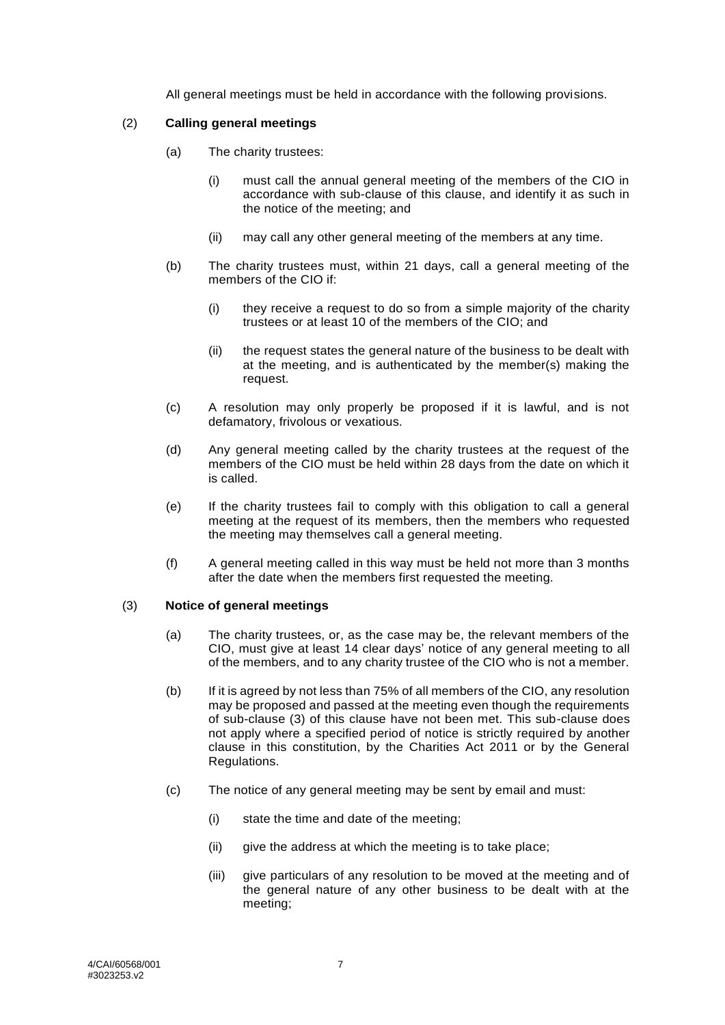All general meetings must be held in accordance with the following provisions.

# (2) **Calling general meetings**

- (a) The charity trustees:
	- (i) must call the annual general meeting of the members of the CIO in accordance with sub-clause of this clause, and identify it as such in the notice of the meeting; and
	- (ii) may call any other general meeting of the members at any time.
- (b) The charity trustees must, within 21 days, call a general meeting of the members of the CIO if:
	- (i) they receive a request to do so from a simple majority of the charity trustees or at least 10 of the members of the CIO; and
	- (ii) the request states the general nature of the business to be dealt with at the meeting, and is authenticated by the member(s) making the request.
- (c) A resolution may only properly be proposed if it is lawful, and is not defamatory, frivolous or vexatious.
- (d) Any general meeting called by the charity trustees at the request of the members of the CIO must be held within 28 days from the date on which it is called.
- (e) If the charity trustees fail to comply with this obligation to call a general meeting at the request of its members, then the members who requested the meeting may themselves call a general meeting.
- (f) A general meeting called in this way must be held not more than 3 months after the date when the members first requested the meeting.

# (3) **Notice of general meetings**

- (a) The charity trustees, or, as the case may be, the relevant members of the CIO, must give at least 14 clear days' notice of any general meeting to all of the members, and to any charity trustee of the CIO who is not a member.
- (b) If it is agreed by not less than 75% of all members of the CIO, any resolution may be proposed and passed at the meeting even though the requirements of sub-clause (3) of this clause have not been met. This sub-clause does not apply where a specified period of notice is strictly required by another clause in this constitution, by the Charities Act 2011 or by the General Regulations.
- (c) The notice of any general meeting may be sent by email and must:
	- (i) state the time and date of the meeting;
	- (ii) give the address at which the meeting is to take place;
	- (iii) give particulars of any resolution to be moved at the meeting and of the general nature of any other business to be dealt with at the meeting;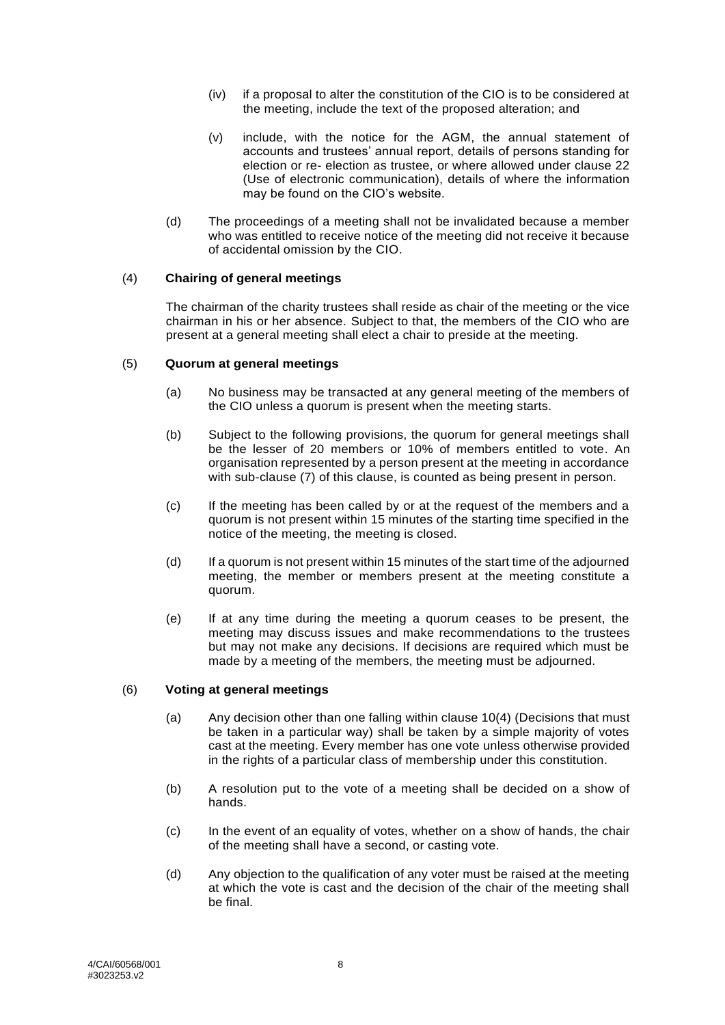- (iv) if a proposal to alter the constitution of the CIO is to be considered at the meeting, include the text of the proposed alteration; and
- (v) include, with the notice for the AGM, the annual statement of accounts and trustees' annual report, details of persons standing for election or re- election as trustee, or where allowed under clause 22 (Use of electronic communication), details of where the information may be found on the CIO's website.
- (d) The proceedings of a meeting shall not be invalidated because a member who was entitled to receive notice of the meeting did not receive it because of accidental omission by the CIO.

# (4) **Chairing of general meetings**

The chairman of the charity trustees shall reside as chair of the meeting or the vice chairman in his or her absence. Subject to that, the members of the CIO who are present at a general meeting shall elect a chair to preside at the meeting.

### (5) **Quorum at general meetings**

- (a) No business may be transacted at any general meeting of the members of the CIO unless a quorum is present when the meeting starts.
- (b) Subject to the following provisions, the quorum for general meetings shall be the lesser of 20 members or 10% of members entitled to vote. An organisation represented by a person present at the meeting in accordance with sub-clause (7) of this clause, is counted as being present in person.
- (c) If the meeting has been called by or at the request of the members and a quorum is not present within 15 minutes of the starting time specified in the notice of the meeting, the meeting is closed.
- (d) If a quorum is not present within 15 minutes of the start time of the adjourned meeting, the member or members present at the meeting constitute a quorum.
- (e) If at any time during the meeting a quorum ceases to be present, the meeting may discuss issues and make recommendations to the trustees but may not make any decisions. If decisions are required which must be made by a meeting of the members, the meeting must be adjourned.

# (6) **Voting at general meetings**

- (a) Any decision other than one falling within clause 10(4) (Decisions that must be taken in a particular way) shall be taken by a simple majority of votes cast at the meeting. Every member has one vote unless otherwise provided in the rights of a particular class of membership under this constitution.
- (b) A resolution put to the vote of a meeting shall be decided on a show of hands.
- (c) In the event of an equality of votes, whether on a show of hands, the chair of the meeting shall have a second, or casting vote.
- (d) Any objection to the qualification of any voter must be raised at the meeting at which the vote is cast and the decision of the chair of the meeting shall be final.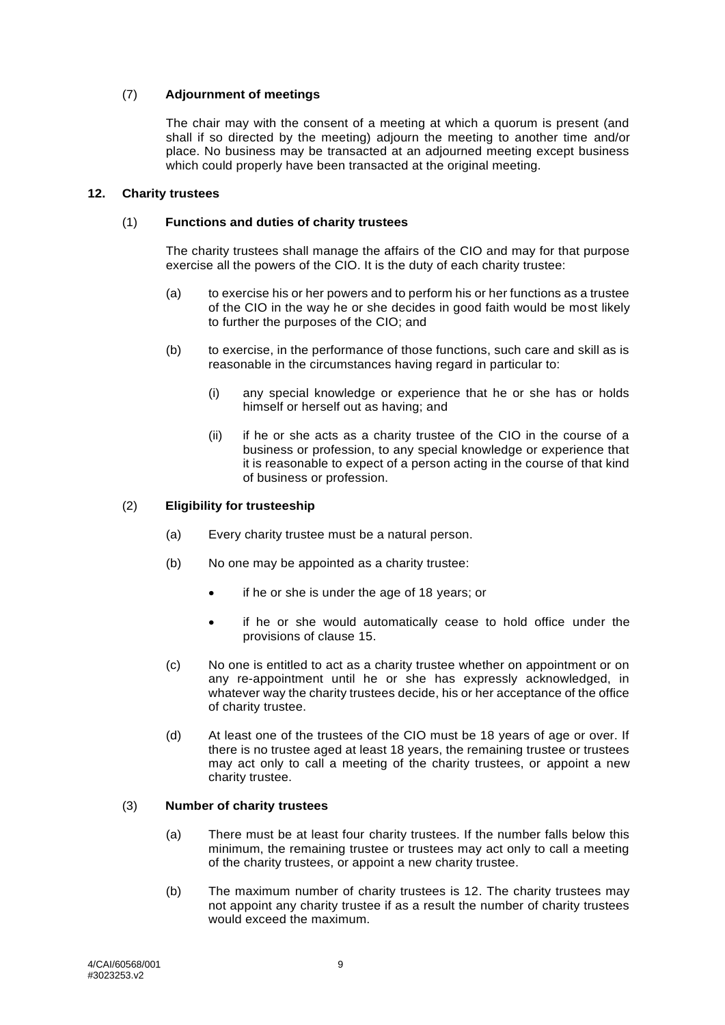# (7) **Adjournment of meetings**

The chair may with the consent of a meeting at which a quorum is present (and shall if so directed by the meeting) adjourn the meeting to another time and/or place. No business may be transacted at an adjourned meeting except business which could properly have been transacted at the original meeting.

# **12. Charity trustees**

### (1) **Functions and duties of charity trustees**

The charity trustees shall manage the affairs of the CIO and may for that purpose exercise all the powers of the CIO. It is the duty of each charity trustee:

- (a) to exercise his or her powers and to perform his or her functions as a trustee of the CIO in the way he or she decides in good faith would be most likely to further the purposes of the CIO; and
- (b) to exercise, in the performance of those functions, such care and skill as is reasonable in the circumstances having regard in particular to:
	- (i) any special knowledge or experience that he or she has or holds himself or herself out as having; and
	- (ii) if he or she acts as a charity trustee of the CIO in the course of a business or profession, to any special knowledge or experience that it is reasonable to expect of a person acting in the course of that kind of business or profession.

### (2) **Eligibility for trusteeship**

- (a) Every charity trustee must be a natural person.
- (b) No one may be appointed as a charity trustee:
	- if he or she is under the age of 18 years; or
	- if he or she would automatically cease to hold office under the provisions of clause 15.
- (c) No one is entitled to act as a charity trustee whether on appointment or on any re-appointment until he or she has expressly acknowledged, in whatever way the charity trustees decide, his or her acceptance of the office of charity trustee.
- (d) At least one of the trustees of the CIO must be 18 years of age or over. If there is no trustee aged at least 18 years, the remaining trustee or trustees may act only to call a meeting of the charity trustees, or appoint a new charity trustee.

#### (3) **Number of charity trustees**

- (a) There must be at least four charity trustees. If the number falls below this minimum, the remaining trustee or trustees may act only to call a meeting of the charity trustees, or appoint a new charity trustee.
- (b) The maximum number of charity trustees is 12. The charity trustees may not appoint any charity trustee if as a result the number of charity trustees would exceed the maximum.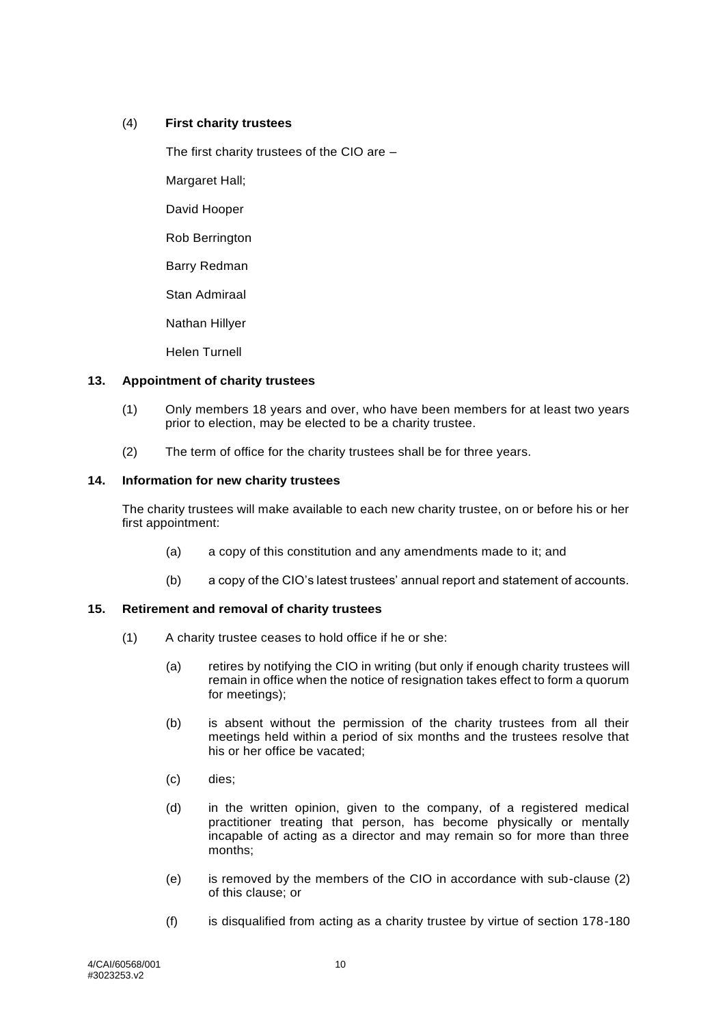# (4) **First charity trustees**

The first charity trustees of the CIO are –

Margaret Hall;

- David Hooper
- Rob Berrington
- Barry Redman
- Stan Admiraal

Nathan Hillyer

Helen Turnell

# **13. Appointment of charity trustees**

- (1) Only members 18 years and over, who have been members for at least two years prior to election, may be elected to be a charity trustee.
- (2) The term of office for the charity trustees shall be for three years.

# **14. Information for new charity trustees**

The charity trustees will make available to each new charity trustee, on or before his or her first appointment:

- (a) a copy of this constitution and any amendments made to it; and
- (b) a copy of the CIO's latest trustees' annual report and statement of accounts.

# **15. Retirement and removal of charity trustees**

- (1) A charity trustee ceases to hold office if he or she:
	- (a) retires by notifying the CIO in writing (but only if enough charity trustees will remain in office when the notice of resignation takes effect to form a quorum for meetings);
	- (b) is absent without the permission of the charity trustees from all their meetings held within a period of six months and the trustees resolve that his or her office be vacated;
	- (c) dies;
	- (d) in the written opinion, given to the company, of a registered medical practitioner treating that person, has become physically or mentally incapable of acting as a director and may remain so for more than three months;
	- (e) is removed by the members of the CIO in accordance with sub-clause (2) of this clause; or
	- (f) is disqualified from acting as a charity trustee by virtue of section 178-180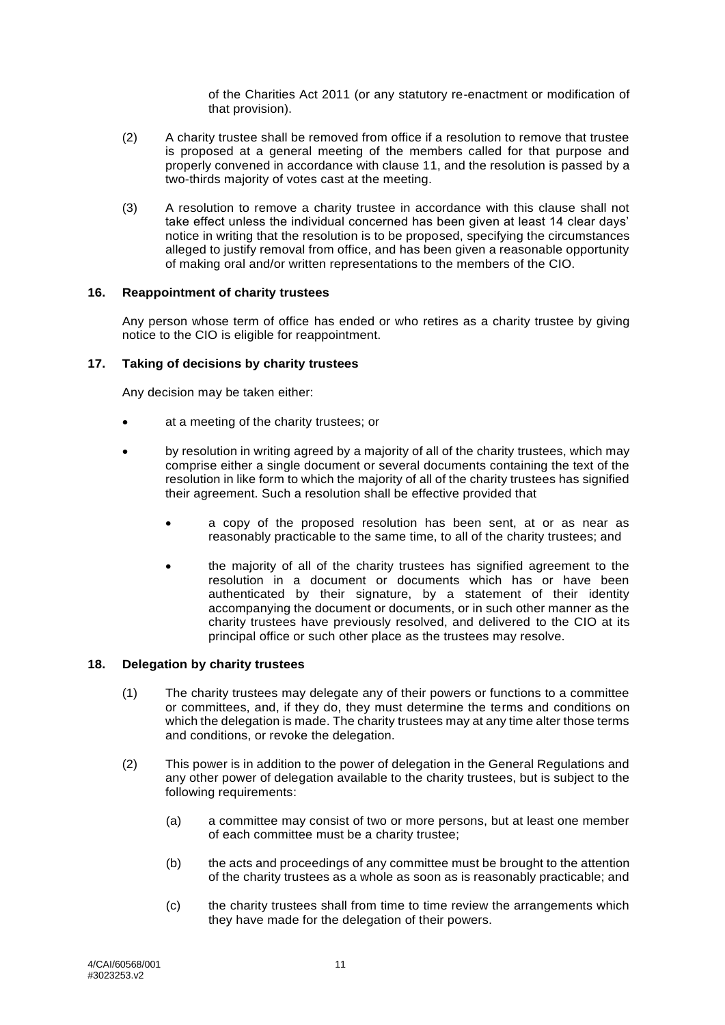of the Charities Act 2011 (or any statutory re-enactment or modification of that provision).

- (2) A charity trustee shall be removed from office if a resolution to remove that trustee is proposed at a general meeting of the members called for that purpose and properly convened in accordance with clause 11, and the resolution is passed by a two-thirds majority of votes cast at the meeting.
- (3) A resolution to remove a charity trustee in accordance with this clause shall not take effect unless the individual concerned has been given at least 14 clear days' notice in writing that the resolution is to be proposed, specifying the circumstances alleged to justify removal from office, and has been given a reasonable opportunity of making oral and/or written representations to the members of the CIO.

### **16. Reappointment of charity trustees**

Any person whose term of office has ended or who retires as a charity trustee by giving notice to the CIO is eligible for reappointment.

### **17. Taking of decisions by charity trustees**

Any decision may be taken either:

- at a meeting of the charity trustees; or
- by resolution in writing agreed by a majority of all of the charity trustees, which may comprise either a single document or several documents containing the text of the resolution in like form to which the majority of all of the charity trustees has signified their agreement. Such a resolution shall be effective provided that
	- a copy of the proposed resolution has been sent, at or as near as reasonably practicable to the same time, to all of the charity trustees; and
	- the majority of all of the charity trustees has signified agreement to the resolution in a document or documents which has or have been authenticated by their signature, by a statement of their identity accompanying the document or documents, or in such other manner as the charity trustees have previously resolved, and delivered to the CIO at its principal office or such other place as the trustees may resolve.

# **18. Delegation by charity trustees**

- (1) The charity trustees may delegate any of their powers or functions to a committee or committees, and, if they do, they must determine the terms and conditions on which the delegation is made. The charity trustees may at any time alter those terms and conditions, or revoke the delegation.
- (2) This power is in addition to the power of delegation in the General Regulations and any other power of delegation available to the charity trustees, but is subject to the following requirements:
	- (a) a committee may consist of two or more persons, but at least one member of each committee must be a charity trustee;
	- (b) the acts and proceedings of any committee must be brought to the attention of the charity trustees as a whole as soon as is reasonably practicable; and
	- (c) the charity trustees shall from time to time review the arrangements which they have made for the delegation of their powers.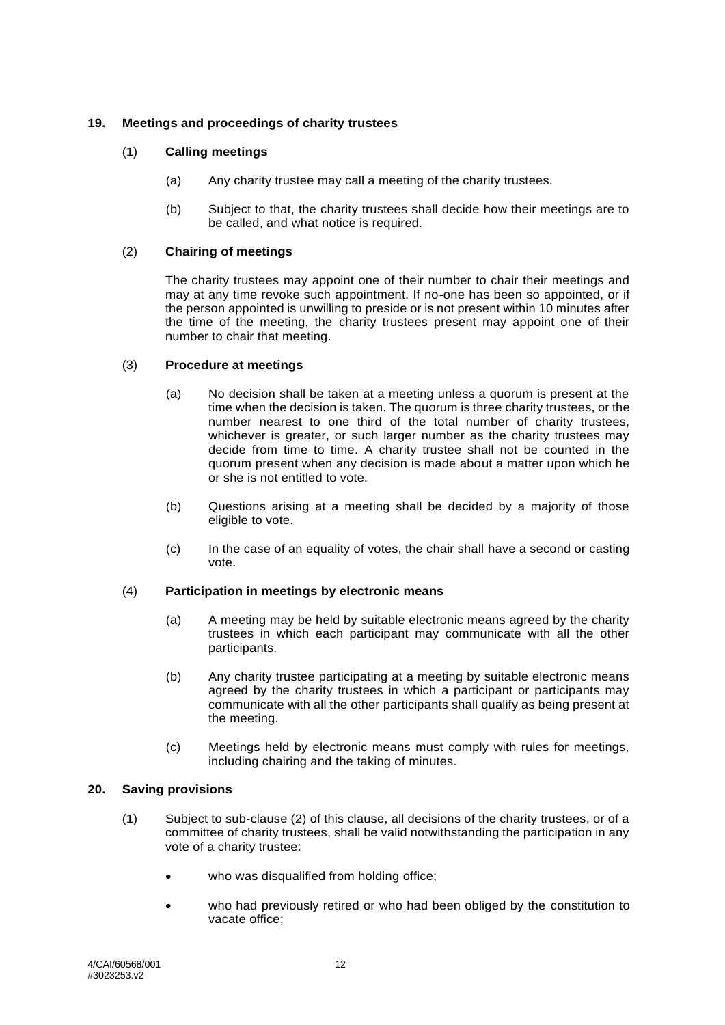# **19. Meetings and proceedings of charity trustees**

# (1) **Calling meetings**

- (a) Any charity trustee may call a meeting of the charity trustees.
- (b) Subject to that, the charity trustees shall decide how their meetings are to be called, and what notice is required.

# (2) **Chairing of meetings**

The charity trustees may appoint one of their number to chair their meetings and may at any time revoke such appointment. If no-one has been so appointed, or if the person appointed is unwilling to preside or is not present within 10 minutes after the time of the meeting, the charity trustees present may appoint one of their number to chair that meeting.

### (3) **Procedure at meetings**

- (a) No decision shall be taken at a meeting unless a quorum is present at the time when the decision is taken. The quorum is three charity trustees, or the number nearest to one third of the total number of charity trustees, whichever is greater, or such larger number as the charity trustees may decide from time to time. A charity trustee shall not be counted in the quorum present when any decision is made about a matter upon which he or she is not entitled to vote.
- (b) Questions arising at a meeting shall be decided by a majority of those eligible to vote.
- (c) In the case of an equality of votes, the chair shall have a second or casting vote.

# (4) **Participation in meetings by electronic means**

- (a) A meeting may be held by suitable electronic means agreed by the charity trustees in which each participant may communicate with all the other participants.
- (b) Any charity trustee participating at a meeting by suitable electronic means agreed by the charity trustees in which a participant or participants may communicate with all the other participants shall qualify as being present at the meeting.
- (c) Meetings held by electronic means must comply with rules for meetings, including chairing and the taking of minutes.

#### **20. Saving provisions**

- (1) Subject to sub-clause (2) of this clause, all decisions of the charity trustees, or of a committee of charity trustees, shall be valid notwithstanding the participation in any vote of a charity trustee:
	- who was disqualified from holding office:
	- who had previously retired or who had been obliged by the constitution to vacate office;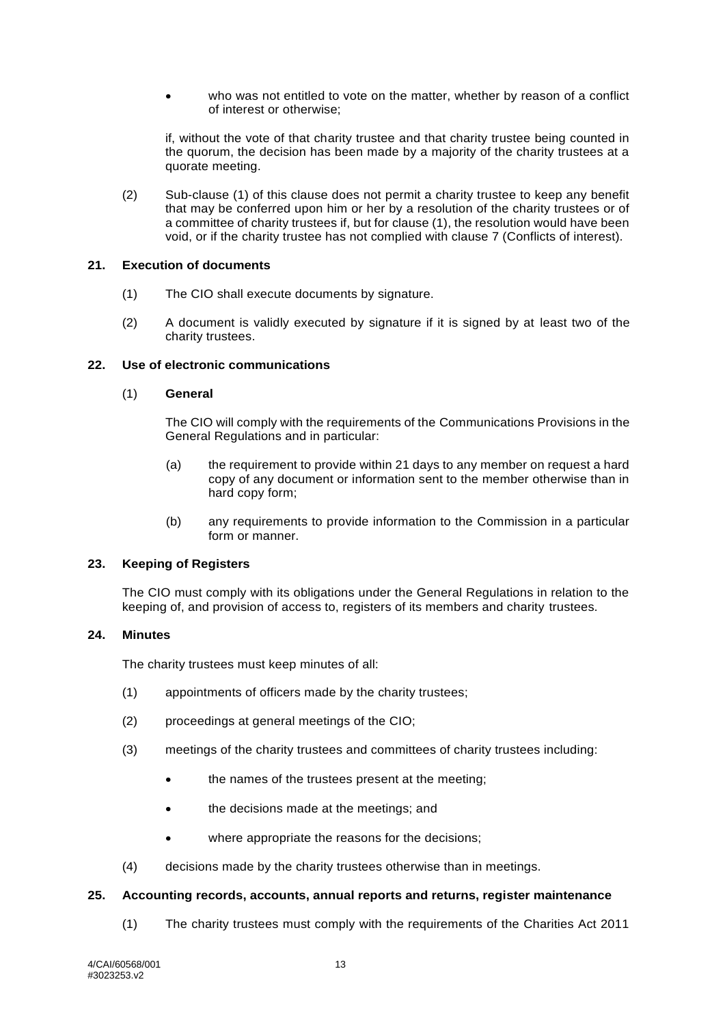who was not entitled to vote on the matter, whether by reason of a conflict of interest or otherwise;

if, without the vote of that charity trustee and that charity trustee being counted in the quorum, the decision has been made by a majority of the charity trustees at a quorate meeting.

(2) Sub-clause (1) of this clause does not permit a charity trustee to keep any benefit that may be conferred upon him or her by a resolution of the charity trustees or of a committee of charity trustees if, but for clause (1), the resolution would have been void, or if the charity trustee has not complied with clause 7 (Conflicts of interest).

# **21. Execution of documents**

- (1) The CIO shall execute documents by signature.
- (2) A document is validly executed by signature if it is signed by at least two of the charity trustees.

### **22. Use of electronic communications**

### (1) **General**

The CIO will comply with the requirements of the Communications Provisions in the General Regulations and in particular:

- (a) the requirement to provide within 21 days to any member on request a hard copy of any document or information sent to the member otherwise than in hard copy form;
- (b) any requirements to provide information to the Commission in a particular form or manner.

# **23. Keeping of Registers**

The CIO must comply with its obligations under the General Regulations in relation to the keeping of, and provision of access to, registers of its members and charity trustees.

#### **24. Minutes**

The charity trustees must keep minutes of all:

- (1) appointments of officers made by the charity trustees;
- (2) proceedings at general meetings of the CIO;
- (3) meetings of the charity trustees and committees of charity trustees including:
	- the names of the trustees present at the meeting;
	- the decisions made at the meetings; and
	- where appropriate the reasons for the decisions;
- (4) decisions made by the charity trustees otherwise than in meetings.

#### **25. Accounting records, accounts, annual reports and returns, register maintenance**

(1) The charity trustees must comply with the requirements of the Charities Act 2011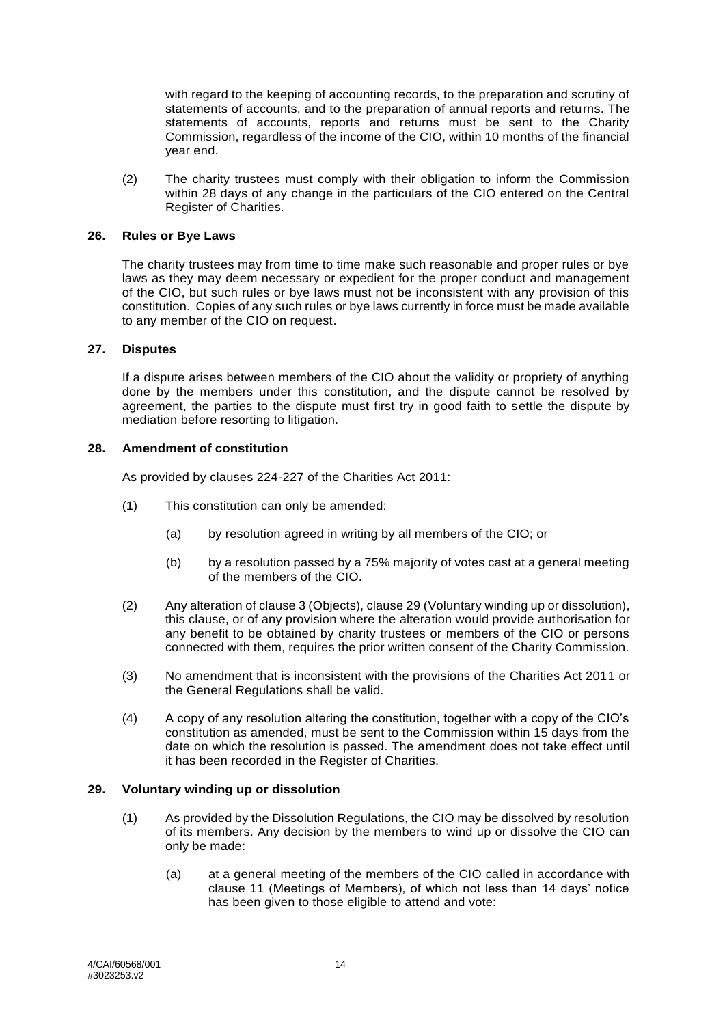with regard to the keeping of accounting records, to the preparation and scrutiny of statements of accounts, and to the preparation of annual reports and returns. The statements of accounts, reports and returns must be sent to the Charity Commission, regardless of the income of the CIO, within 10 months of the financial year end.

(2) The charity trustees must comply with their obligation to inform the Commission within 28 days of any change in the particulars of the CIO entered on the Central Register of Charities.

### **26. Rules or Bye Laws**

The charity trustees may from time to time make such reasonable and proper rules or bye laws as they may deem necessary or expedient for the proper conduct and management of the CIO, but such rules or bye laws must not be inconsistent with any provision of this constitution. Copies of any such rules or bye laws currently in force must be made available to any member of the CIO on request.

### **27. Disputes**

If a dispute arises between members of the CIO about the validity or propriety of anything done by the members under this constitution, and the dispute cannot be resolved by agreement, the parties to the dispute must first try in good faith to settle the dispute by mediation before resorting to litigation.

### **28. Amendment of constitution**

As provided by clauses 224-227 of the Charities Act 2011:

- (1) This constitution can only be amended:
	- (a) by resolution agreed in writing by all members of the CIO; or
	- (b) by a resolution passed by a 75% majority of votes cast at a general meeting of the members of the CIO.
- (2) Any alteration of clause 3 (Objects), clause 29 (Voluntary winding up or dissolution), this clause, or of any provision where the alteration would provide authorisation for any benefit to be obtained by charity trustees or members of the CIO or persons connected with them, requires the prior written consent of the Charity Commission.
- (3) No amendment that is inconsistent with the provisions of the Charities Act 2011 or the General Regulations shall be valid.
- (4) A copy of any resolution altering the constitution, together with a copy of the CIO's constitution as amended, must be sent to the Commission within 15 days from the date on which the resolution is passed. The amendment does not take effect until it has been recorded in the Register of Charities.

#### **29. Voluntary winding up or dissolution**

- (1) As provided by the Dissolution Regulations, the CIO may be dissolved by resolution of its members. Any decision by the members to wind up or dissolve the CIO can only be made:
	- (a) at a general meeting of the members of the CIO called in accordance with clause 11 (Meetings of Members), of which not less than 14 days' notice has been given to those eligible to attend and vote: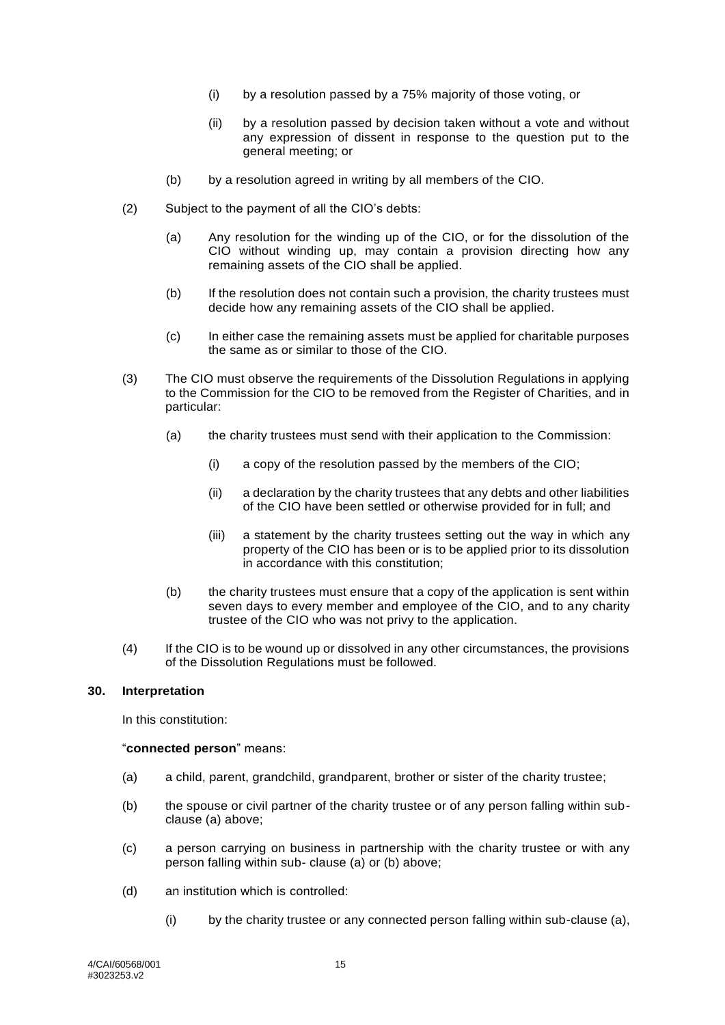- (i) by a resolution passed by a 75% majority of those voting, or
- (ii) by a resolution passed by decision taken without a vote and without any expression of dissent in response to the question put to the general meeting; or
- (b) by a resolution agreed in writing by all members of the CIO.
- (2) Subject to the payment of all the CIO's debts:
	- (a) Any resolution for the winding up of the CIO, or for the dissolution of the CIO without winding up, may contain a provision directing how any remaining assets of the CIO shall be applied.
	- (b) If the resolution does not contain such a provision, the charity trustees must decide how any remaining assets of the CIO shall be applied.
	- (c) In either case the remaining assets must be applied for charitable purposes the same as or similar to those of the CIO.
- (3) The CIO must observe the requirements of the Dissolution Regulations in applying to the Commission for the CIO to be removed from the Register of Charities, and in particular:
	- (a) the charity trustees must send with their application to the Commission:
		- (i) a copy of the resolution passed by the members of the CIO;
		- (ii) a declaration by the charity trustees that any debts and other liabilities of the CIO have been settled or otherwise provided for in full; and
		- (iii) a statement by the charity trustees setting out the way in which any property of the CIO has been or is to be applied prior to its dissolution in accordance with this constitution;
	- (b) the charity trustees must ensure that a copy of the application is sent within seven days to every member and employee of the CIO, and to any charity trustee of the CIO who was not privy to the application.
- (4) If the CIO is to be wound up or dissolved in any other circumstances, the provisions of the Dissolution Regulations must be followed.

### **30. Interpretation**

In this constitution:

#### "**connected person**" means:

- (a) a child, parent, grandchild, grandparent, brother or sister of the charity trustee;
- (b) the spouse or civil partner of the charity trustee or of any person falling within subclause (a) above;
- (c) a person carrying on business in partnership with the charity trustee or with any person falling within sub- clause (a) or (b) above;
- (d) an institution which is controlled:
	- $(i)$  by the charity trustee or any connected person falling within sub-clause (a),